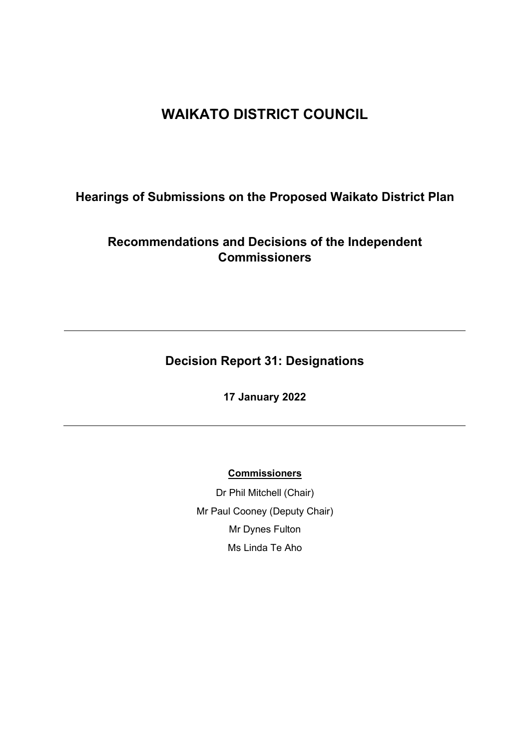# **WAIKATO DISTRICT COUNCIL**

# **Hearings of Submissions on the Proposed Waikato District Plan**

# **Recommendations and Decisions of the Independent Commissioners**

# **Decision Report 31: Designations**

**17 January 2022**

## **Commissioners**

Dr Phil Mitchell (Chair) Mr Paul Cooney (Deputy Chair) Mr Dynes Fulton Ms Linda Te Aho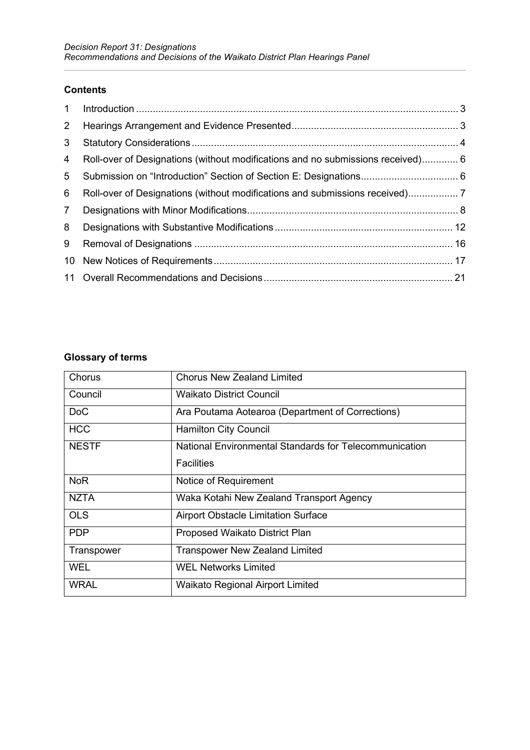### **Contents**

| $2^{\circ}$    |                                                                                 |  |
|----------------|---------------------------------------------------------------------------------|--|
| 3 <sup>1</sup> |                                                                                 |  |
| 4              | Roll-over of Designations (without modifications and no submissions received) 6 |  |
| 5              |                                                                                 |  |
| 6              |                                                                                 |  |
| 7 <sup>1</sup> |                                                                                 |  |
| 8              |                                                                                 |  |
| 9              |                                                                                 |  |
|                |                                                                                 |  |
|                |                                                                                 |  |

# **Glossary of terms**

| Chorus          | <b>Chorus New Zealand Limited</b>                      |
|-----------------|--------------------------------------------------------|
| Council         | <b>Waikato District Council</b>                        |
| Do <sub>C</sub> | Ara Poutama Aotearoa (Department of Corrections)       |
| <b>HCC</b>      | <b>Hamilton City Council</b>                           |
| <b>NESTF</b>    | National Environmental Standards for Telecommunication |
|                 | <b>Facilities</b>                                      |
| <b>NoR</b>      | Notice of Requirement                                  |
| <b>NZTA</b>     | Waka Kotahi New Zealand Transport Agency               |
| <b>OLS</b>      | <b>Airport Obstacle Limitation Surface</b>             |
| <b>PDP</b>      | Proposed Waikato District Plan                         |
| Transpower      | <b>Transpower New Zealand Limited</b>                  |
| <b>WEL</b>      | <b>WEL Networks Limited</b>                            |
| WRAL            | <b>Waikato Regional Airport Limited</b>                |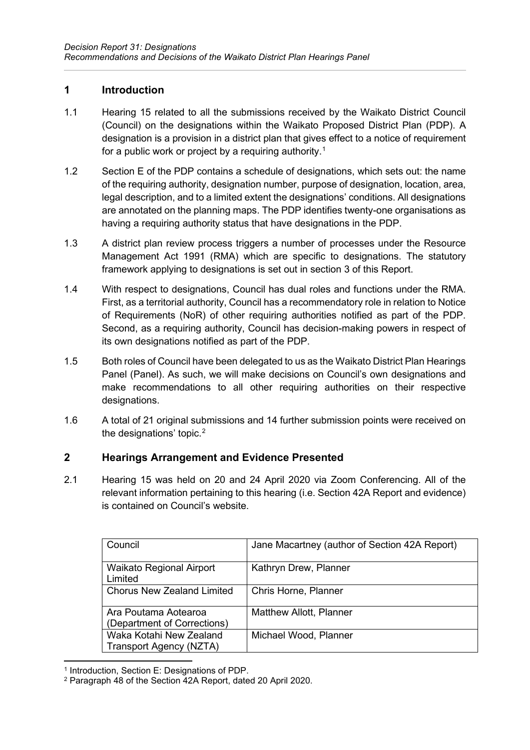## <span id="page-2-0"></span>**1 Introduction**

- 1.1 Hearing 15 related to all the submissions received by the Waikato District Council (Council) on the designations within the Waikato Proposed District Plan (PDP). A designation is a provision in a district plan that gives effect to a notice of requirement for a public work or project by a requiring authority. $^{\text{\tiny{\text{\tiny{1}}}}}$  $^{\text{\tiny{\text{\tiny{1}}}}}$  $^{\text{\tiny{\text{\tiny{1}}}}}$
- 1.2 Section E of the PDP contains a schedule of designations, which sets out: the name of the requiring authority, designation number, purpose of designation, location, area, legal description, and to a limited extent the designations' conditions. All designations are annotated on the planning maps. The PDP identifies twenty-one organisations as having a requiring authority status that have designations in the PDP.
- 1.3 A district plan review process triggers a number of processes under the Resource Management Act 1991 (RMA) which are specific to designations. The statutory framework applying to designations is set out in section 3 of this Report.
- 1.4 With respect to designations, Council has dual roles and functions under the RMA. First, as a territorial authority, Council has a recommendatory role in relation to Notice of Requirements (NoR) of other requiring authorities notified as part of the PDP. Second, as a requiring authority, Council has decision-making powers in respect of its own designations notified as part of the PDP.
- 1.5 Both roles of Council have been delegated to us as the Waikato District Plan Hearings Panel (Panel). As such, we will make decisions on Council's own designations and make recommendations to all other requiring authorities on their respective designations.
- 1.6 A total of 21 original submissions and 14 further submission points were received on the designations' topic. $^{\rm 2}$  $^{\rm 2}$  $^{\rm 2}$

# <span id="page-2-1"></span>**2 Hearings Arrangement and Evidence Presented**

2.1 Hearing 15 was held on 20 and 24 April 2020 via Zoom Conferencing. All of the relevant information pertaining to this hearing (i.e. Section 42A Report and evidence) is contained on Council's website.

| Council                                             | Jane Macartney (author of Section 42A Report) |
|-----------------------------------------------------|-----------------------------------------------|
| Waikato Regional Airport<br>Limited                 | Kathryn Drew, Planner                         |
| <b>Chorus New Zealand Limited</b>                   | Chris Horne, Planner                          |
| Ara Poutama Aotearoa<br>(Department of Corrections) | <b>Matthew Allott, Planner</b>                |
| Waka Kotahi New Zealand<br>Transport Agency (NZTA)  | Michael Wood, Planner                         |

<span id="page-2-2"></span><sup>1</sup> Introduction, Section E: Designations of PDP.

<span id="page-2-3"></span><sup>2</sup> Paragraph 48 of the Section 42A Report, dated 20 April 2020.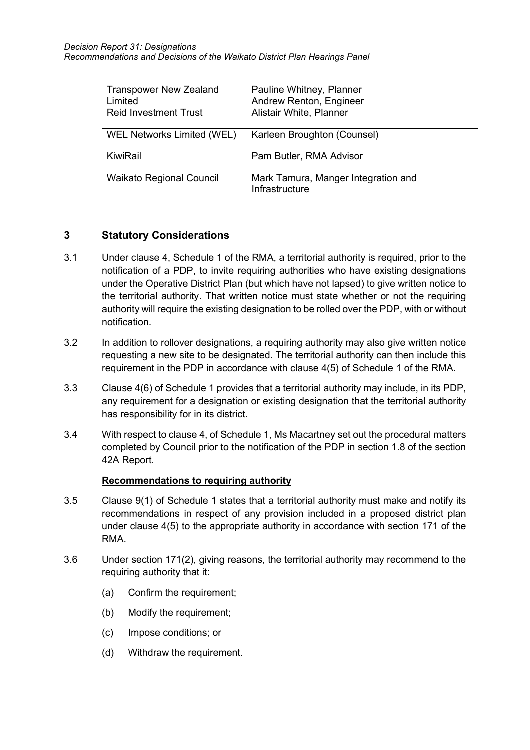| <b>Transpower New Zealand</b>   | Pauline Whitney, Planner            |
|---------------------------------|-------------------------------------|
| Limited                         | Andrew Renton, Engineer             |
| <b>Reid Investment Trust</b>    | Alistair White, Planner             |
|                                 |                                     |
| WEL Networks Limited (WEL)      | Karleen Broughton (Counsel)         |
| KiwiRail                        |                                     |
|                                 | Pam Butler, RMA Advisor             |
|                                 |                                     |
| <b>Waikato Regional Council</b> | Mark Tamura, Manger Integration and |
|                                 | Infrastructure                      |

# <span id="page-3-0"></span>**3 Statutory Considerations**

- 3.1 Under clause 4, Schedule 1 of the RMA, a territorial authority is required, prior to the notification of a PDP, to invite requiring authorities who have existing designations under the Operative District Plan (but which have not lapsed) to give written notice to the territorial authority. That written notice must state whether or not the requiring authority will require the existing designation to be rolled over the PDP, with or without notification.
- 3.2 In addition to rollover designations, a requiring authority may also give written notice requesting a new site to be designated. The territorial authority can then include this requirement in the PDP in accordance with clause 4(5) of Schedule 1 of the RMA.
- 3.3 Clause 4(6) of Schedule 1 provides that a territorial authority may include, in its PDP, any requirement for a designation or existing designation that the territorial authority has responsibility for in its district.
- 3.4 With respect to clause 4, of Schedule 1, Ms Macartney set out the procedural matters completed by Council prior to the notification of the PDP in section 1.8 of the section 42A Report.

#### **Recommendations to requiring authority**

- 3.5 Clause 9(1) of Schedule 1 states that a territorial authority must make and notify its recommendations in respect of any provision included in a proposed district plan under clause 4(5) to the appropriate authority in accordance with section 171 of the RMA.
- 3.6 Under section 171(2), giving reasons, the territorial authority may recommend to the requiring authority that it:
	- (a) Confirm the requirement;
	- (b) Modify the requirement;
	- (c) Impose conditions; or
	- (d) Withdraw the requirement.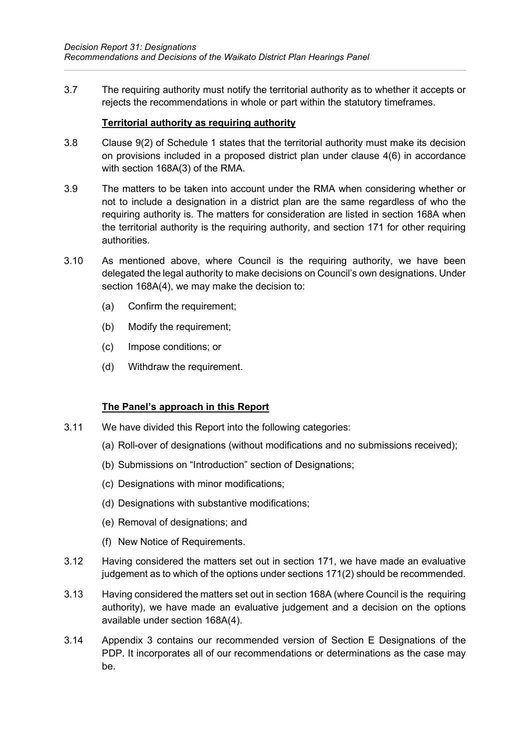3.7 The requiring authority must notify the territorial authority as to whether it accepts or rejects the recommendations in whole or part within the statutory timeframes.

#### **Territorial authority as requiring authority**

- 3.8 Clause 9(2) of Schedule 1 states that the territorial authority must make its decision on provisions included in a proposed district plan under clause 4(6) in accordance with section 168A(3) of the RMA.
- 3.9 The matters to be taken into account under the RMA when considering whether or not to include a designation in a district plan are the same regardless of who the requiring authority is. The matters for consideration are listed in section 168A when the territorial authority is the requiring authority, and section 171 for other requiring authorities.
- 3.10 As mentioned above, where Council is the requiring authority, we have been delegated the legal authority to make decisions on Council's own designations. Under section 168A(4), we may make the decision to:
	- (a) Confirm the requirement;
	- (b) Modify the requirement;
	- (c) Impose conditions; or
	- (d) Withdraw the requirement.

#### **The Panel's approach in this Report**

- 3.11 We have divided this Report into the following categories:
	- (a) Roll-over of designations (without modifications and no submissions received);
	- (b) Submissions on "Introduction" section of Designations;
	- (c) Designations with minor modifications;
	- (d) Designations with substantive modifications;
	- (e) Removal of designations; and
	- (f) New Notice of Requirements.
- 3.12 Having considered the matters set out in section 171, we have made an evaluative judgement as to which of the options under sections 171(2) should be recommended.
- 3.13 Having considered the matters set out in section 168A (where Council is the requiring authority), we have made an evaluative judgement and a decision on the options available under section 168A(4).
- 3.14 Appendix 3 contains our recommended version of Section E Designations of the PDP. It incorporates all of our recommendations or determinations as the case may be.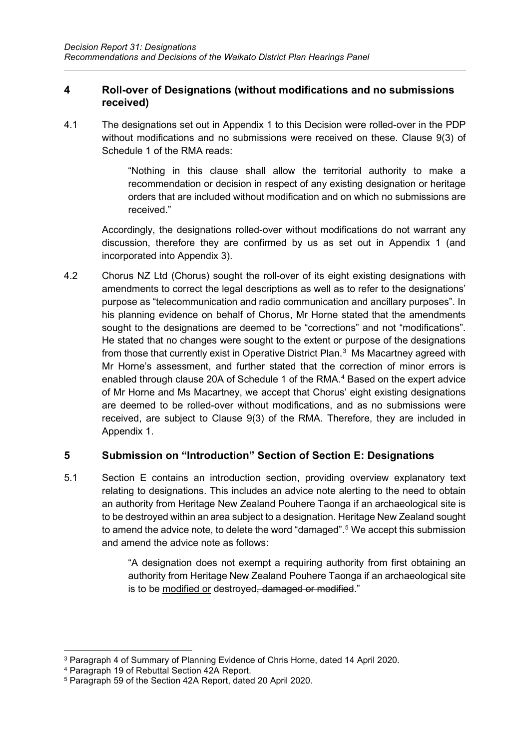## <span id="page-5-0"></span>**4 Roll-over of Designations (without modifications and no submissions received)**

4.1 The designations set out in Appendix 1 to this Decision were rolled-over in the PDP without modifications and no submissions were received on these. Clause 9(3) of Schedule 1 of the RMA reads:

> "Nothing in this clause shall allow the territorial authority to make a recommendation or decision in respect of any existing designation or heritage orders that are included without modification and on which no submissions are received."

Accordingly, the designations rolled-over without modifications do not warrant any discussion, therefore they are confirmed by us as set out in Appendix 1 (and incorporated into Appendix 3).

4.2 Chorus NZ Ltd (Chorus) sought the roll-over of its eight existing designations with amendments to correct the legal descriptions as well as to refer to the designations' purpose as "telecommunication and radio communication and ancillary purposes". In his planning evidence on behalf of Chorus, Mr Horne stated that the amendments sought to the designations are deemed to be "corrections" and not "modifications". He stated that no changes were sought to the extent or purpose of the designations from those that currently exist in Operative District Plan. $^3\,$  $^3\,$  $^3\,$  Ms Macartney agreed with Mr Horne's assessment, and further stated that the correction of minor errors is enabled through clause 20A of Schedule 1 of the RMA. [4](#page-5-3) Based on the expert advice of Mr Horne and Ms Macartney, we accept that Chorus' eight existing designations are deemed to be rolled-over without modifications, and as no submissions were received, are subject to Clause 9(3) of the RMA. Therefore, they are included in Appendix 1.

# <span id="page-5-1"></span>**5 Submission on "Introduction" Section of Section E: Designations**

5.1 Section E contains an introduction section, providing overview explanatory text relating to designations. This includes an advice note alerting to the need to obtain an authority from Heritage New Zealand Pouhere Taonga if an archaeological site is to be destroyed within an area subject to a designation. Heritage New Zealand sought to amend the advice note, to delete the word "damaged". [5](#page-5-4) We accept this submission and amend the advice note as follows:

> "A designation does not exempt a requiring authority from first obtaining an authority from Heritage New Zealand Pouhere Taonga if an archaeological site is to be modified or destroyed, damaged or modified."

<span id="page-5-2"></span><sup>3</sup> Paragraph 4 of Summary of Planning Evidence of Chris Horne, dated 14 April 2020.

<span id="page-5-3"></span><sup>4</sup> Paragraph 19 of Rebuttal Section 42A Report.

<span id="page-5-4"></span><sup>5</sup> Paragraph 59 of the Section 42A Report, dated 20 April 2020.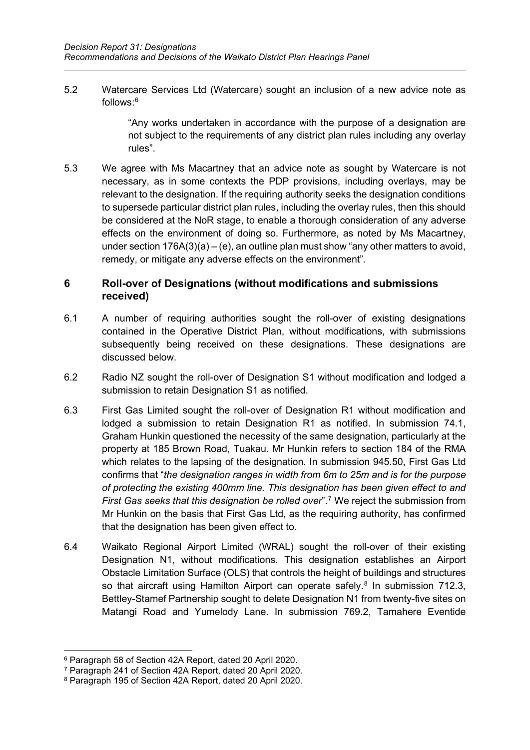5.2 Watercare Services Ltd (Watercare) sought an inclusion of a new advice note as follows: [6](#page-6-1)

> "Any works undertaken in accordance with the purpose of a designation are not subject to the requirements of any district plan rules including any overlay rules".

5.3 We agree with Ms Macartney that an advice note as sought by Watercare is not necessary, as in some contexts the PDP provisions, including overlays, may be relevant to the designation. If the requiring authority seeks the designation conditions to supersede particular district plan rules, including the overlay rules, then this should be considered at the NoR stage, to enable a thorough consideration of any adverse effects on the environment of doing so. Furthermore, as noted by Ms Macartney, under section  $176A(3)(a) - (e)$ , an outline plan must show "any other matters to avoid, remedy, or mitigate any adverse effects on the environment".

## <span id="page-6-0"></span>**6 Roll-over of Designations (without modifications and submissions received)**

- 6.1 A number of requiring authorities sought the roll-over of existing designations contained in the Operative District Plan, without modifications, with submissions subsequently being received on these designations. These designations are discussed below.
- 6.2 Radio NZ sought the roll-over of Designation S1 without modification and lodged a submission to retain Designation S1 as notified.
- 6.3 First Gas Limited sought the roll-over of Designation R1 without modification and lodged a submission to retain Designation R1 as notified. In submission 74.1, Graham Hunkin questioned the necessity of the same designation, particularly at the property at 185 Brown Road, Tuakau. Mr Hunkin refers to section 184 of the RMA which relates to the lapsing of the designation. In submission 945.50, First Gas Ltd confirms that "*the designation ranges in width from 6m to 25m and is for the purpose of protecting the existing 400mm line. This designation has been given effect to and First Gas seeks that this designation be rolled over*". [7](#page-6-2) We reject the submission from Mr Hunkin on the basis that First Gas Ltd, as the requiring authority, has confirmed that the designation has been given effect to.
- 6.4 Waikato Regional Airport Limited (WRAL) sought the roll-over of their existing Designation N1, without modifications. This designation establishes an Airport Obstacle Limitation Surface (OLS) that controls the height of buildings and structures so that aircraft using Hamilton Airport can operate safely. [8](#page-6-3) In submission 712.3, Bettley-Stamef Partnership sought to delete Designation N1 from twenty-five sites on Matangi Road and Yumelody Lane. In submission 769.2, Tamahere Eventide

<span id="page-6-1"></span><sup>6</sup> Paragraph 58 of Section 42A Report, dated 20 April 2020.

<span id="page-6-2"></span><sup>7</sup> Paragraph 241 of Section 42A Report, dated 20 April 2020.

<span id="page-6-3"></span><sup>8</sup> Paragraph 195 of Section 42A Report, dated 20 April 2020.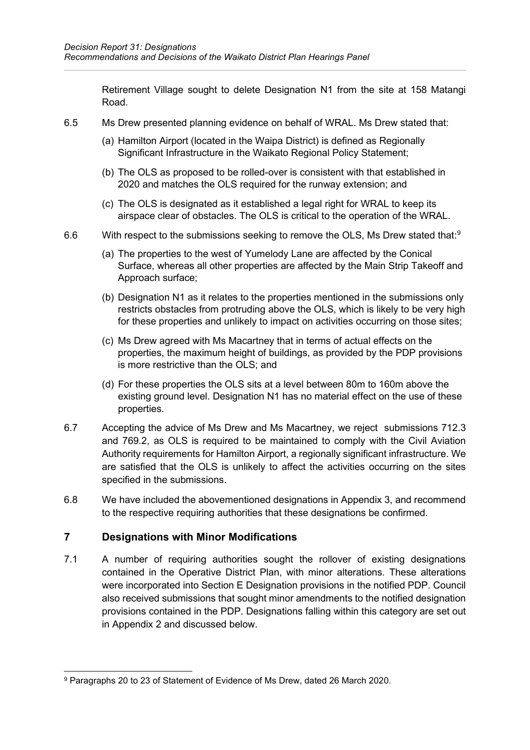Retirement Village sought to delete Designation N1 from the site at 158 Matangi Road.

- 6.5 Ms Drew presented planning evidence on behalf of WRAL. Ms Drew stated that:
	- (a) Hamilton Airport (located in the Waipa District) is defined as Regionally Significant Infrastructure in the Waikato Regional Policy Statement:
	- (b) The OLS as proposed to be rolled-over is consistent with that established in 2020 and matches the OLS required for the runway extension; and
	- (c) The OLS is designated as it established a legal right for WRAL to keep its airspace clear of obstacles. The OLS is critical to the operation of the WRAL.
- 6.6  $\hskip1cm$  With respect to the submissions seeking to remove the OLS, Ms Drew stated that:<sup>[9](#page-7-1)</sup>
	- (a) The properties to the west of Yumelody Lane are affected by the Conical Surface, whereas all other properties are affected by the Main Strip Takeoff and Approach surface;
	- (b) Designation N1 as it relates to the properties mentioned in the submissions only restricts obstacles from protruding above the OLS, which is likely to be very high for these properties and unlikely to impact on activities occurring on those sites;
	- (c) Ms Drew agreed with Ms Macartney that in terms of actual effects on the properties, the maximum height of buildings, as provided by the PDP provisions is more restrictive than the OLS; and
	- (d) For these properties the OLS sits at a level between 80m to 160m above the existing ground level. Designation N1 has no material effect on the use of these properties.
- 6.7 Accepting the advice of Ms Drew and Ms Macartney, we reject submissions 712.3 and 769.2, as OLS is required to be maintained to comply with the Civil Aviation Authority requirements for Hamilton Airport, a regionally significant infrastructure. We are satisfied that the OLS is unlikely to affect the activities occurring on the sites specified in the submissions.
- 6.8 We have included the abovementioned designations in Appendix 3, and recommend to the respective requiring authorities that these designations be confirmed.

## <span id="page-7-0"></span>**7 Designations with Minor Modifications**

7.1 A number of requiring authorities sought the rollover of existing designations contained in the Operative District Plan, with minor alterations. These alterations were incorporated into Section E Designation provisions in the notified PDP. Council also received submissions that sought minor amendments to the notified designation provisions contained in the PDP. Designations falling within this category are set out in Appendix 2 and discussed below.

<span id="page-7-1"></span><sup>9</sup> Paragraphs 20 to 23 of Statement of Evidence of Ms Drew, dated 26 March 2020.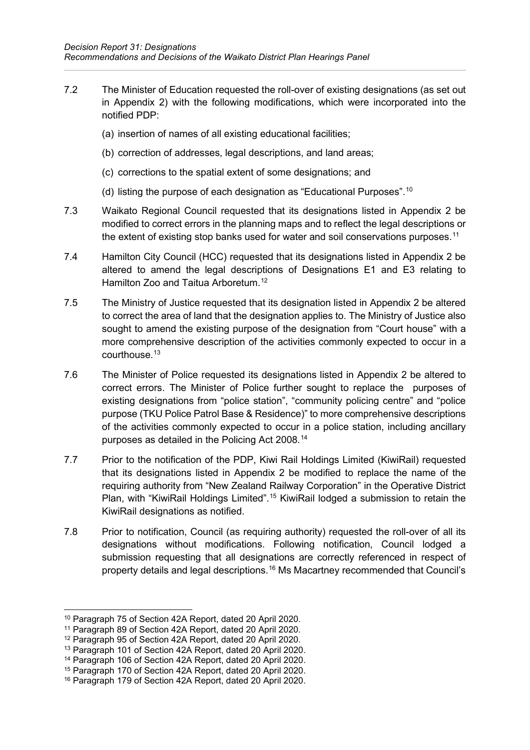- 7.2 The Minister of Education requested the roll-over of existing designations (as set out in Appendix 2) with the following modifications, which were incorporated into the notified PDP:
	- (a) insertion of names of all existing educational facilities;
	- (b) correction of addresses, legal descriptions, and land areas;
	- (c) corrections to the spatial extent of some designations; and
	- (d) listing the purpose of each designation as "Educational Purposes". $^{\rm 10}$  $^{\rm 10}$  $^{\rm 10}$
- 7.3 Waikato Regional Council requested that its designations listed in Appendix 2 be modified to correct errors in the planning maps and to reflect the legal descriptions or the extent of existing stop banks used for water and soil conservations purposes. $^{\rm 11}$  $^{\rm 11}$  $^{\rm 11}$
- 7.4 Hamilton City Council (HCC) requested that its designations listed in Appendix 2 be altered to amend the legal descriptions of Designations E1 and E3 relating to Hamilton Zoo and Taitua Arboretum. [12](#page-8-2)
- 7.5 The Ministry of Justice requested that its designation listed in Appendix 2 be altered to correct the area of land that the designation applies to. The Ministry of Justice also sought to amend the existing purpose of the designation from "Court house" with a more comprehensive description of the activities commonly expected to occur in a courthouse. [13](#page-8-3)
- 7.6 The Minister of Police requested its designations listed in Appendix 2 be altered to correct errors. The Minister of Police further sought to replace the purposes of existing designations from "police station", "community policing centre" and "police purpose (TKU Police Patrol Base & Residence)" to more comprehensive descriptions of the activities commonly expected to occur in a police station, including ancillary purposes as detailed in the Policing Act 2008. [14](#page-8-4)
- 7.7 Prior to the notification of the PDP, Kiwi Rail Holdings Limited (KiwiRail) requested that its designations listed in Appendix 2 be modified to replace the name of the requiring authority from "New Zealand Railway Corporation" in the Operative District Plan, with "KiwiRail Holdings Limited".<sup>[15](#page-8-5)</sup> KiwiRail lodged a submission to retain the KiwiRail designations as notified.
- 7.8 Prior to notification, Council (as requiring authority) requested the roll-over of all its designations without modifications. Following notification, Council lodged a submission requesting that all designations are correctly referenced in respect of property details and legal descriptions.<sup>[16](#page-8-6)</sup> Ms Macartney recommended that Council's

<sup>10</sup> Paragraph 75 of Section 42A Report, dated 20 April 2020.

<span id="page-8-1"></span><span id="page-8-0"></span><sup>11</sup> Paragraph 89 of Section 42A Report, dated 20 April 2020.

<span id="page-8-2"></span><sup>12</sup> Paragraph 95 of Section 42A Report, dated 20 April 2020.

<span id="page-8-3"></span><sup>13</sup> Paragraph 101 of Section 42A Report, dated 20 April 2020.

<span id="page-8-4"></span><sup>14</sup> Paragraph 106 of Section 42A Report, dated 20 April 2020.

<span id="page-8-5"></span><sup>15</sup> Paragraph 170 of Section 42A Report, dated 20 April 2020.

<span id="page-8-6"></span><sup>16</sup> Paragraph 179 of Section 42A Report, dated 20 April 2020.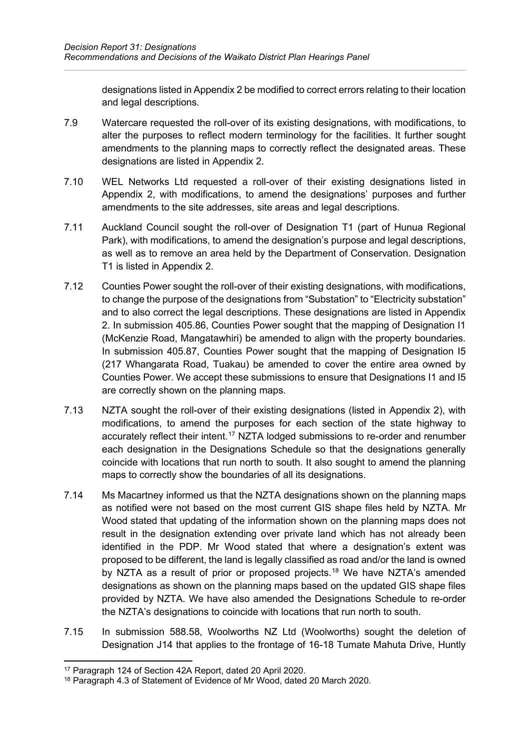designations listed in Appendix 2 be modified to correct errors relating to their location and legal descriptions.

- 7.9 Watercare requested the roll-over of its existing designations, with modifications, to alter the purposes to reflect modern terminology for the facilities. It further sought amendments to the planning maps to correctly reflect the designated areas. These designations are listed in Appendix 2.
- 7.10 WEL Networks Ltd requested a roll-over of their existing designations listed in Appendix 2, with modifications, to amend the designations' purposes and further amendments to the site addresses, site areas and legal descriptions.
- 7.11 Auckland Council sought the roll-over of Designation T1 (part of Hunua Regional Park), with modifications, to amend the designation's purpose and legal descriptions, as well as to remove an area held by the Department of Conservation. Designation T1 is listed in Appendix 2.
- 7.12 Counties Power sought the roll-over of their existing designations, with modifications, to change the purpose of the designations from "Substation" to "Electricity substation" and to also correct the legal descriptions. These designations are listed in Appendix 2. In submission 405.86, Counties Power sought that the mapping of Designation I1 (McKenzie Road, Mangatawhiri) be amended to align with the property boundaries. In submission 405.87, Counties Power sought that the mapping of Designation I5 (217 Whangarata Road, Tuakau) be amended to cover the entire area owned by Counties Power. We accept these submissions to ensure that Designations I1 and I5 are correctly shown on the planning maps.
- 7.13 NZTA sought the roll-over of their existing designations (listed in Appendix 2), with modifications, to amend the purposes for each section of the state highway to accurately reflect their intent. [17](#page-9-0) NZTA lodged submissions to re-order and renumber each designation in the Designations Schedule so that the designations generally coincide with locations that run north to south. It also sought to amend the planning maps to correctly show the boundaries of all its designations.
- 7.14 Ms Macartney informed us that the NZTA designations shown on the planning maps as notified were not based on the most current GIS shape files held by NZTA. Mr Wood stated that updating of the information shown on the planning maps does not result in the designation extending over private land which has not already been identified in the PDP. Mr Wood stated that where a designation's extent was proposed to be different, the land is legally classified as road and/or the land is owned by NZTA as a result of prior or proposed projects.<sup>[18](#page-9-1)</sup> We have NZTA's amended designations as shown on the planning maps based on the updated GIS shape files provided by NZTA. We have also amended the Designations Schedule to re-order the NZTA's designations to coincide with locations that run north to south.
- 7.15 In submission 588.58, Woolworths NZ Ltd (Woolworths) sought the deletion of Designation J14 that applies to the frontage of 16-18 Tumate Mahuta Drive, Huntly

<span id="page-9-0"></span><sup>17</sup> Paragraph 124 of Section 42A Report, dated 20 April 2020.

<span id="page-9-1"></span><sup>18</sup> Paragraph 4.3 of Statement of Evidence of Mr Wood, dated 20 March 2020.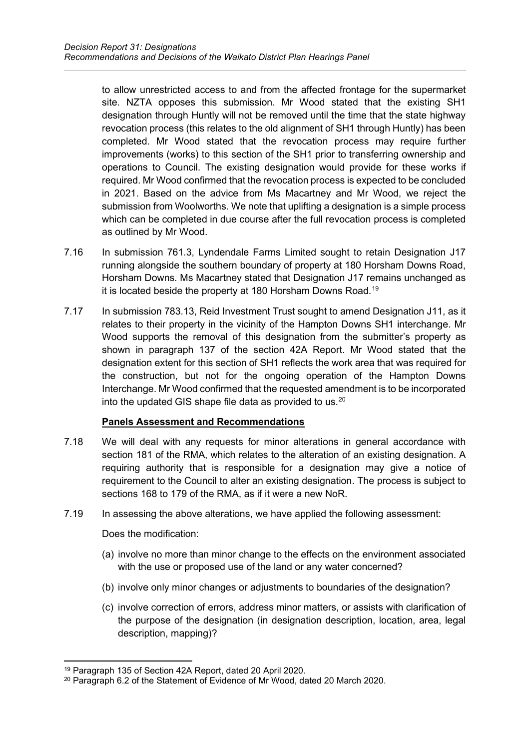to allow unrestricted access to and from the affected frontage for the supermarket site. NZTA opposes this submission. Mr Wood stated that the existing SH1 designation through Huntly will not be removed until the time that the state highway revocation process (this relates to the old alignment of SH1 through Huntly) has been completed. Mr Wood stated that the revocation process may require further improvements (works) to this section of the SH1 prior to transferring ownership and operations to Council. The existing designation would provide for these works if required. Mr Wood confirmed that the revocation process is expected to be concluded in 2021. Based on the advice from Ms Macartney and Mr Wood, we reject the submission from Woolworths. We note that uplifting a designation is a simple process which can be completed in due course after the full revocation process is completed as outlined by Mr Wood.

- 7.16 In submission 761.3, Lyndendale Farms Limited sought to retain Designation J17 running alongside the southern boundary of property at 180 Horsham Downs Road, Horsham Downs. Ms Macartney stated that Designation J17 remains unchanged as it is located beside the property at 180 Horsham Downs Road.<sup>[19](#page-10-0)</sup>
- 7.17 In submission 783.13, Reid Investment Trust sought to amend Designation J11, as it relates to their property in the vicinity of the Hampton Downs SH1 interchange. Mr Wood supports the removal of this designation from the submitter's property as shown in paragraph 137 of the section 42A Report. Mr Wood stated that the designation extent for this section of SH1 reflects the work area that was required for the construction, but not for the ongoing operation of the Hampton Downs Interchange. Mr Wood confirmed that the requested amendment is to be incorporated into the updated GIS shape file data as provided to us.<sup>[20](#page-10-1)</sup>

## **Panels Assessment and Recommendations**

- 7.18 We will deal with any requests for minor alterations in general accordance with section 181 of the RMA, which relates to the alteration of an existing designation. A requiring authority that is responsible for a designation may give a notice of requirement to the Council to alter an existing designation. The process is subject to sections 168 to 179 of the RMA, as if it were a new NoR.
- 7.19 In assessing the above alterations, we have applied the following assessment:

Does the modification:

- (a) involve no more than minor change to the effects on the environment associated with the use or proposed use of the land or any water concerned?
- (b) involve only minor changes or adjustments to boundaries of the designation?
- (c) involve correction of errors, address minor matters, or assists with clarification of the purpose of the designation (in designation description, location, area, legal description, mapping)?

<sup>19</sup> Paragraph 135 of Section 42A Report, dated 20 April 2020.

<span id="page-10-1"></span><span id="page-10-0"></span><sup>20</sup> Paragraph 6.2 of the Statement of Evidence of Mr Wood, dated 20 March 2020.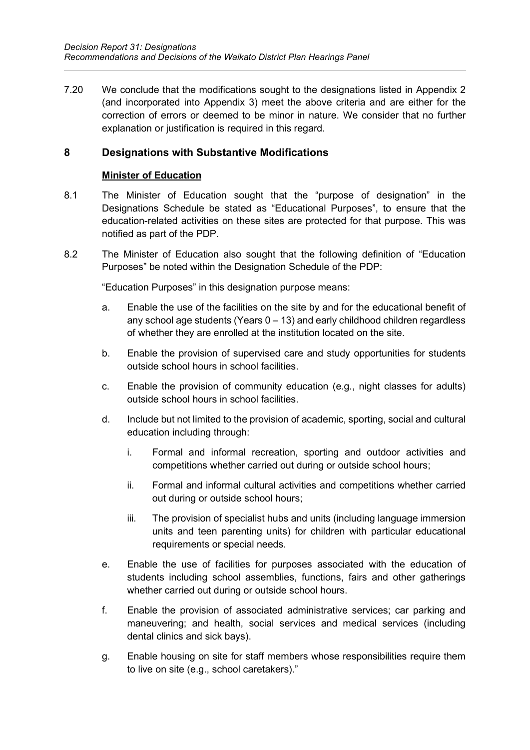7.20 We conclude that the modifications sought to the designations listed in Appendix 2 (and incorporated into Appendix 3) meet the above criteria and are either for the correction of errors or deemed to be minor in nature. We consider that no further explanation or justification is required in this regard.

## <span id="page-11-0"></span>**8 Designations with Substantive Modifications**

#### **Minister of Education**

- 8.1 The Minister of Education sought that the "purpose of designation" in the Designations Schedule be stated as "Educational Purposes", to ensure that the education-related activities on these sites are protected for that purpose. This was notified as part of the PDP.
- 8.2 The Minister of Education also sought that the following definition of "Education Purposes" be noted within the Designation Schedule of the PDP:

"Education Purposes" in this designation purpose means:

- a. Enable the use of the facilities on the site by and for the educational benefit of any school age students (Years 0 – 13) and early childhood children regardless of whether they are enrolled at the institution located on the site.
- b. Enable the provision of supervised care and study opportunities for students outside school hours in school facilities.
- c. Enable the provision of community education (e.g., night classes for adults) outside school hours in school facilities.
- d. Include but not limited to the provision of academic, sporting, social and cultural education including through:
	- i. Formal and informal recreation, sporting and outdoor activities and competitions whether carried out during or outside school hours;
	- ii. Formal and informal cultural activities and competitions whether carried out during or outside school hours;
	- iii. The provision of specialist hubs and units (including language immersion units and teen parenting units) for children with particular educational requirements or special needs.
- e. Enable the use of facilities for purposes associated with the education of students including school assemblies, functions, fairs and other gatherings whether carried out during or outside school hours.
- f. Enable the provision of associated administrative services; car parking and maneuvering; and health, social services and medical services (including dental clinics and sick bays).
- g. Enable housing on site for staff members whose responsibilities require them to live on site (e.g., school caretakers)."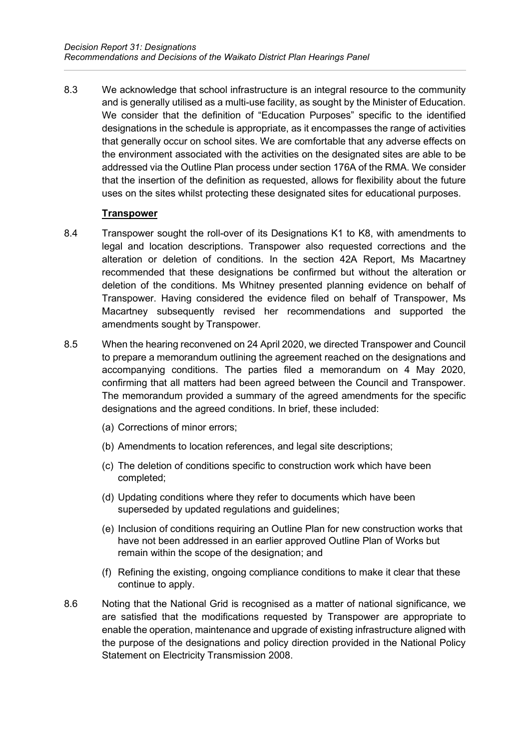8.3 We acknowledge that school infrastructure is an integral resource to the community and is generally utilised as a multi-use facility, as sought by the Minister of Education. We consider that the definition of "Education Purposes" specific to the identified designations in the schedule is appropriate, as it encompasses the range of activities that generally occur on school sites. We are comfortable that any adverse effects on the environment associated with the activities on the designated sites are able to be addressed via the Outline Plan process under section 176A of the RMA. We consider that the insertion of the definition as requested, allows for flexibility about the future uses on the sites whilst protecting these designated sites for educational purposes.

#### **Transpower**

- 8.4 Transpower sought the roll-over of its Designations K1 to K8, with amendments to legal and location descriptions. Transpower also requested corrections and the alteration or deletion of conditions. In the section 42A Report, Ms Macartney recommended that these designations be confirmed but without the alteration or deletion of the conditions. Ms Whitney presented planning evidence on behalf of Transpower. Having considered the evidence filed on behalf of Transpower, Ms Macartney subsequently revised her recommendations and supported the amendments sought by Transpower.
- 8.5 When the hearing reconvened on 24 April 2020, we directed Transpower and Council to prepare a memorandum outlining the agreement reached on the designations and accompanying conditions. The parties filed a memorandum on 4 May 2020, confirming that all matters had been agreed between the Council and Transpower. The memorandum provided a summary of the agreed amendments for the specific designations and the agreed conditions. In brief, these included:
	- (a) Corrections of minor errors;
	- (b) Amendments to location references, and legal site descriptions;
	- (c) The deletion of conditions specific to construction work which have been completed;
	- (d) Updating conditions where they refer to documents which have been superseded by updated regulations and guidelines;
	- (e) Inclusion of conditions requiring an Outline Plan for new construction works that have not been addressed in an earlier approved Outline Plan of Works but remain within the scope of the designation; and
	- (f) Refining the existing, ongoing compliance conditions to make it clear that these continue to apply.
- 8.6 Noting that the National Grid is recognised as a matter of national significance, we are satisfied that the modifications requested by Transpower are appropriate to enable the operation, maintenance and upgrade of existing infrastructure aligned with the purpose of the designations and policy direction provided in the National Policy Statement on Electricity Transmission 2008.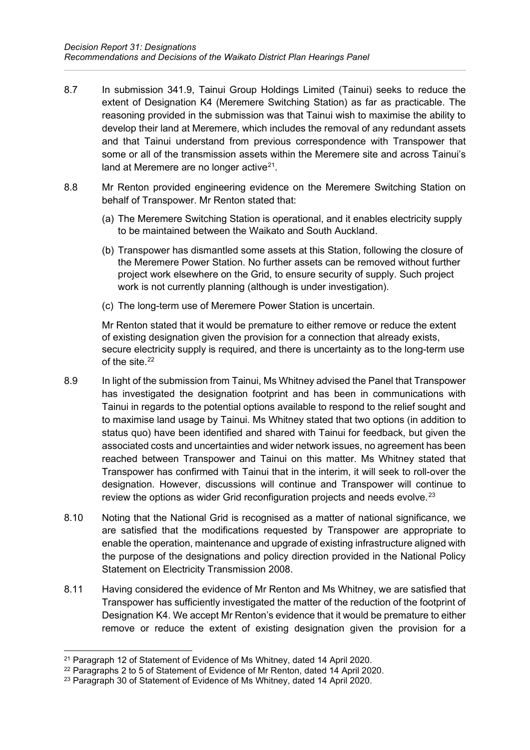- 8.7 In submission 341.9, Tainui Group Holdings Limited (Tainui) seeks to reduce the extent of Designation K4 (Meremere Switching Station) as far as practicable. The reasoning provided in the submission was that Tainui wish to maximise the ability to develop their land at Meremere, which includes the removal of any redundant assets and that Tainui understand from previous correspondence with Transpower that some or all of the transmission assets within the Meremere site and across Tainui's land at Meremere are no longer active<sup>21</sup>.
- 8.8 Mr Renton provided engineering evidence on the Meremere Switching Station on behalf of Transpower. Mr Renton stated that:
	- (a) The Meremere Switching Station is operational, and it enables electricity supply to be maintained between the Waikato and South Auckland.
	- (b) Transpower has dismantled some assets at this Station, following the closure of the Meremere Power Station. No further assets can be removed without further project work elsewhere on the Grid, to ensure security of supply. Such project work is not currently planning (although is under investigation).
	- (c) The long-term use of Meremere Power Station is uncertain.

Mr Renton stated that it would be premature to either remove or reduce the extent of existing designation given the provision for a connection that already exists, secure electricity supply is required, and there is uncertainty as to the long-term use of the site. [22](#page-13-1)

- 8.9 In light of the submission from Tainui, Ms Whitney advised the Panel that Transpower has investigated the designation footprint and has been in communications with Tainui in regards to the potential options available to respond to the relief sought and to maximise land usage by Tainui. Ms Whitney stated that two options (in addition to status quo) have been identified and shared with Tainui for feedback, but given the associated costs and uncertainties and wider network issues, no agreement has been reached between Transpower and Tainui on this matter. Ms Whitney stated that Transpower has confirmed with Tainui that in the interim, it will seek to roll-over the designation. However, discussions will continue and Transpower will continue to review the options as wider Grid reconfiguration projects and needs evolve. [23](#page-13-2)
- 8.10 Noting that the National Grid is recognised as a matter of national significance, we are satisfied that the modifications requested by Transpower are appropriate to enable the operation, maintenance and upgrade of existing infrastructure aligned with the purpose of the designations and policy direction provided in the National Policy Statement on Electricity Transmission 2008.
- 8.11 Having considered the evidence of Mr Renton and Ms Whitney, we are satisfied that Transpower has sufficiently investigated the matter of the reduction of the footprint of Designation K4. We accept Mr Renton's evidence that it would be premature to either remove or reduce the extent of existing designation given the provision for a

<span id="page-13-0"></span><sup>21</sup> Paragraph 12 of Statement of Evidence of Ms Whitney, dated 14 April 2020.

<span id="page-13-1"></span><sup>22</sup> Paragraphs 2 to 5 of Statement of Evidence of Mr Renton, dated 14 April 2020.

<span id="page-13-2"></span><sup>&</sup>lt;sup>23</sup> Paragraph 30 of Statement of Evidence of Ms Whitney, dated 14 April 2020.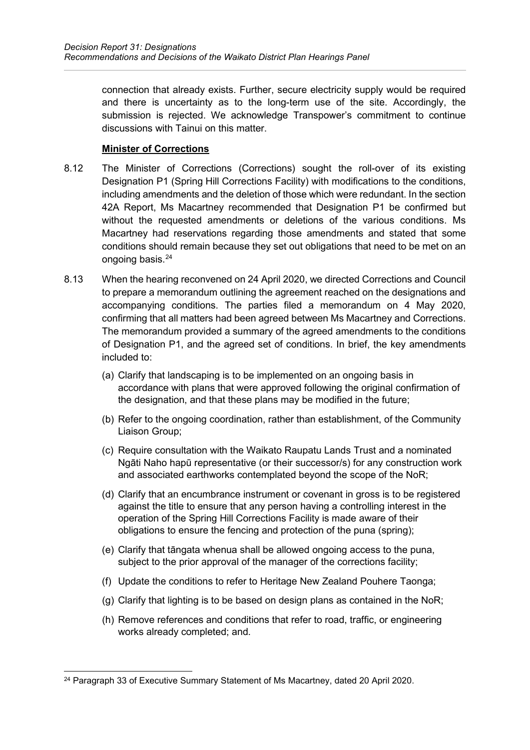connection that already exists. Further, secure electricity supply would be required and there is uncertainty as to the long-term use of the site. Accordingly, the submission is rejected. We acknowledge Transpower's commitment to continue discussions with Tainui on this matter.

### **Minister of Corrections**

- 8.12 The Minister of Corrections (Corrections) sought the roll-over of its existing Designation P1 (Spring Hill Corrections Facility) with modifications to the conditions, including amendments and the deletion of those which were redundant. In the section 42A Report, Ms Macartney recommended that Designation P1 be confirmed but without the requested amendments or deletions of the various conditions. Ms Macartney had reservations regarding those amendments and stated that some conditions should remain because they set out obligations that need to be met on an ongoing basis. [24](#page-14-0)
- 8.13 When the hearing reconvened on 24 April 2020, we directed Corrections and Council to prepare a memorandum outlining the agreement reached on the designations and accompanying conditions. The parties filed a memorandum on 4 May 2020, confirming that all matters had been agreed between Ms Macartney and Corrections. The memorandum provided a summary of the agreed amendments to the conditions of Designation P1, and the agreed set of conditions. In brief, the key amendments included to:
	- (a) Clarify that landscaping is to be implemented on an ongoing basis in accordance with plans that were approved following the original confirmation of the designation, and that these plans may be modified in the future;
	- (b) Refer to the ongoing coordination, rather than establishment, of the Community Liaison Group;
	- (c) Require consultation with the Waikato Raupatu Lands Trust and a nominated Ngāti Naho hapū representative (or their successor/s) for any construction work and associated earthworks contemplated beyond the scope of the NoR;
	- (d) Clarify that an encumbrance instrument or covenant in gross is to be registered against the title to ensure that any person having a controlling interest in the operation of the Spring Hill Corrections Facility is made aware of their obligations to ensure the fencing and protection of the puna (spring);
	- (e) Clarify that tāngata whenua shall be allowed ongoing access to the puna, subject to the prior approval of the manager of the corrections facility;
	- (f) Update the conditions to refer to Heritage New Zealand Pouhere Taonga;
	- (g) Clarify that lighting is to be based on design plans as contained in the NoR;
	- (h) Remove references and conditions that refer to road, traffic, or engineering works already completed; and.

<span id="page-14-0"></span><sup>24</sup> Paragraph 33 of Executive Summary Statement of Ms Macartney, dated 20 April 2020.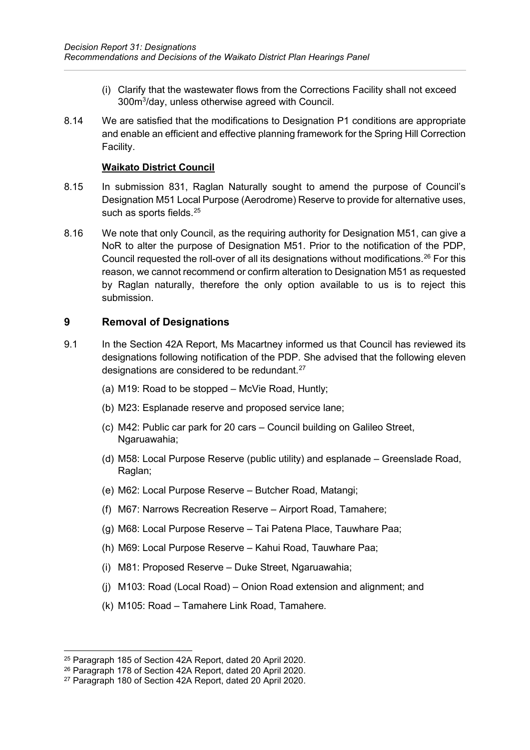- (i) Clarify that the wastewater flows from the Corrections Facility shall not exceed 300m<sup>3</sup>/day, unless otherwise agreed with Council.
- 8.14 We are satisfied that the modifications to Designation P1 conditions are appropriate and enable an efficient and effective planning framework for the Spring Hill Correction Facility.

#### **Waikato District Council**

- 8.15 In submission 831, Raglan Naturally sought to amend the purpose of Council's Designation M51 Local Purpose (Aerodrome) Reserve to provide for alternative uses, such as sports fields. [25](#page-15-1)
- 8.16 We note that only Council, as the requiring authority for Designation M51, can give a NoR to alter the purpose of Designation M51. Prior to the notification of the PDP, Council requested the roll-over of all its designations without modifications. [26](#page-15-2) For this reason, we cannot recommend or confirm alteration to Designation M51 as requested by Raglan naturally, therefore the only option available to us is to reject this submission.

## <span id="page-15-0"></span>**9 Removal of Designations**

- 9.1 In the Section 42A Report, Ms Macartney informed us that Council has reviewed its designations following notification of the PDP. She advised that the following eleven designations are considered to be redundant. [27](#page-15-3)
	- (a) M19: Road to be stopped McVie Road, Huntly;
	- (b) M23: Esplanade reserve and proposed service lane;
	- (c) M42: Public car park for 20 cars Council building on Galileo Street, Ngaruawahia;
	- (d) M58: Local Purpose Reserve (public utility) and esplanade Greenslade Road, Raglan;
	- (e) M62: Local Purpose Reserve Butcher Road, Matangi;
	- (f) M67: Narrows Recreation Reserve Airport Road, Tamahere;
	- (g) M68: Local Purpose Reserve Tai Patena Place, Tauwhare Paa;
	- (h) M69: Local Purpose Reserve Kahui Road, Tauwhare Paa;
	- (i) M81: Proposed Reserve Duke Street, Ngaruawahia;
	- (j) M103: Road (Local Road) Onion Road extension and alignment; and
	- (k) M105: Road Tamahere Link Road, Tamahere.

<span id="page-15-1"></span><sup>25</sup> Paragraph 185 of Section 42A Report, dated 20 April 2020.

<span id="page-15-2"></span><sup>26</sup> Paragraph 178 of Section 42A Report, dated 20 April 2020.

<span id="page-15-3"></span><sup>27</sup> Paragraph 180 of Section 42A Report, dated 20 April 2020.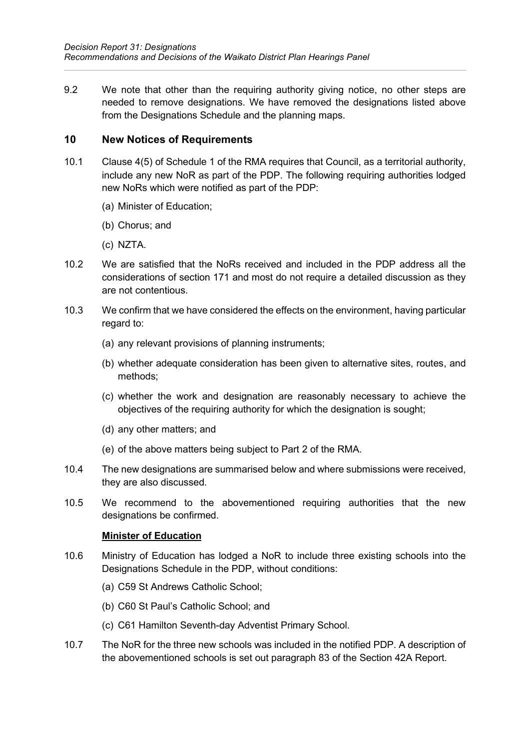9.2 We note that other than the requiring authority giving notice, no other steps are needed to remove designations. We have removed the designations listed above from the Designations Schedule and the planning maps.

#### <span id="page-16-0"></span>**10 New Notices of Requirements**

- 10.1 Clause 4(5) of Schedule 1 of the RMA requires that Council, as a territorial authority, include any new NoR as part of the PDP. The following requiring authorities lodged new NoRs which were notified as part of the PDP:
	- (a) Minister of Education;
	- (b) Chorus; and
	- (c) NZTA.
- 10.2 We are satisfied that the NoRs received and included in the PDP address all the considerations of section 171 and most do not require a detailed discussion as they are not contentious.
- 10.3 We confirm that we have considered the effects on the environment, having particular regard to:
	- (a) any relevant provisions of planning instruments;
	- (b) whether adequate consideration has been given to alternative sites, routes, and methods;
	- (c) whether the work and designation are reasonably necessary to achieve the objectives of the requiring authority for which the designation is sought;
	- (d) any other matters; and
	- (e) of the above matters being subject to Part 2 of the RMA.
- 10.4 The new designations are summarised below and where submissions were received, they are also discussed.
- 10.5 We recommend to the abovementioned requiring authorities that the new designations be confirmed.

#### **Minister of Education**

- 10.6 Ministry of Education has lodged a NoR to include three existing schools into the Designations Schedule in the PDP, without conditions:
	- (a) C59 St Andrews Catholic School;
	- (b) C60 St Paul's Catholic School; and
	- (c) C61 Hamilton Seventh-day Adventist Primary School.
- 10.7 The NoR for the three new schools was included in the notified PDP. A description of the abovementioned schools is set out paragraph 83 of the Section 42A Report.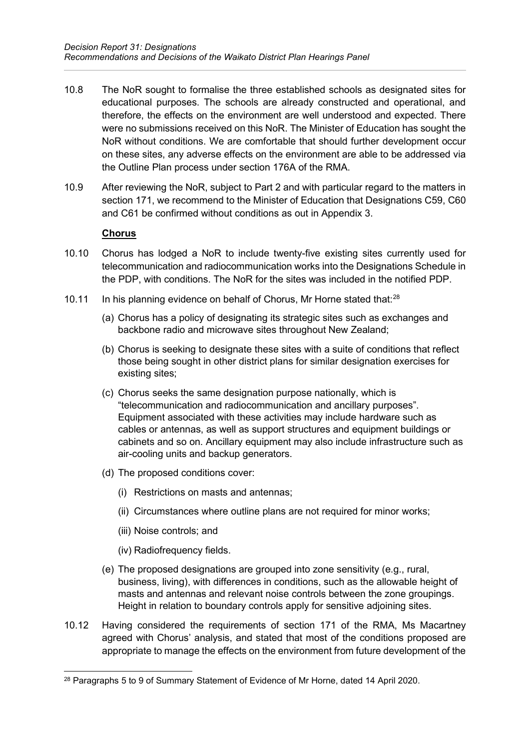- 10.8 The NoR sought to formalise the three established schools as designated sites for educational purposes. The schools are already constructed and operational, and therefore, the effects on the environment are well understood and expected. There were no submissions received on this NoR. The Minister of Education has sought the NoR without conditions. We are comfortable that should further development occur on these sites, any adverse effects on the environment are able to be addressed via the Outline Plan process under section 176A of the RMA.
- 10.9 After reviewing the NoR, subject to Part 2 and with particular regard to the matters in section 171, we recommend to the Minister of Education that Designations C59, C60 and C61 be confirmed without conditions as out in Appendix 3.

#### **Chorus**

- 10.10 Chorus has lodged a NoR to include twenty-five existing sites currently used for telecommunication and radiocommunication works into the Designations Schedule in the PDP, with conditions. The NoR for the sites was included in the notified PDP.
- 10.11 In his planning evidence on behalf of Chorus, Mr Horne stated that:<sup>[28](#page-17-0)</sup>
	- (a) Chorus has a policy of designating its strategic sites such as exchanges and backbone radio and microwave sites throughout New Zealand;
	- (b) Chorus is seeking to designate these sites with a suite of conditions that reflect those being sought in other district plans for similar designation exercises for existing sites;
	- (c) Chorus seeks the same designation purpose nationally, which is "telecommunication and radiocommunication and ancillary purposes". Equipment associated with these activities may include hardware such as cables or antennas, as well as support structures and equipment buildings or cabinets and so on. Ancillary equipment may also include infrastructure such as air-cooling units and backup generators.
	- (d) The proposed conditions cover:
		- (i) Restrictions on masts and antennas;
		- (ii) Circumstances where outline plans are not required for minor works;
		- (iii) Noise controls; and
		- (iv) Radiofrequency fields.
	- (e) The proposed designations are grouped into zone sensitivity (e.g., rural, business, living), with differences in conditions, such as the allowable height of masts and antennas and relevant noise controls between the zone groupings. Height in relation to boundary controls apply for sensitive adjoining sites.
- 10.12 Having considered the requirements of section 171 of the RMA, Ms Macartney agreed with Chorus' analysis, and stated that most of the conditions proposed are appropriate to manage the effects on the environment from future development of the

<span id="page-17-0"></span><sup>&</sup>lt;sup>28</sup> Paragraphs 5 to 9 of Summary Statement of Evidence of Mr Horne, dated 14 April 2020.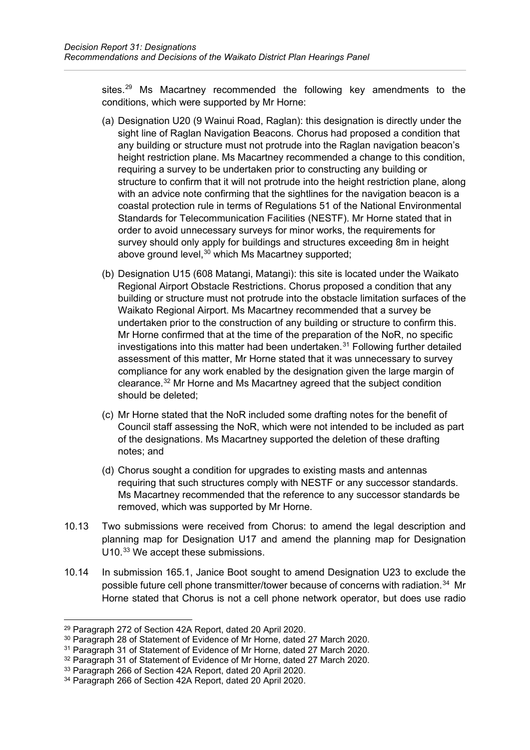sites.<sup>[29](#page-18-0)</sup> Ms Macartney recommended the following key amendments to the conditions, which were supported by Mr Horne:

- (a) Designation U20 (9 Wainui Road, Raglan): this designation is directly under the sight line of Raglan Navigation Beacons. Chorus had proposed a condition that any building or structure must not protrude into the Raglan navigation beacon's height restriction plane. Ms Macartney recommended a change to this condition, requiring a survey to be undertaken prior to constructing any building or structure to confirm that it will not protrude into the height restriction plane, along with an advice note confirming that the sightlines for the navigation beacon is a coastal protection rule in terms of Regulations 51 of the National Environmental Standards for Telecommunication Facilities (NESTF). Mr Horne stated that in order to avoid unnecessary surveys for minor works, the requirements for survey should only apply for buildings and structures exceeding 8m in height above ground level, [30](#page-18-1) which Ms Macartney supported;
- (b) Designation U15 (608 Matangi, Matangi): this site is located under the Waikato Regional Airport Obstacle Restrictions. Chorus proposed a condition that any building or structure must not protrude into the obstacle limitation surfaces of the Waikato Regional Airport. Ms Macartney recommended that a survey be undertaken prior to the construction of any building or structure to confirm this. Mr Horne confirmed that at the time of the preparation of the NoR, no specific investigations into this matter had been undertaken. [31](#page-18-2) Following further detailed assessment of this matter, Mr Horne stated that it was unnecessary to survey compliance for any work enabled by the designation given the large margin of clearance. [32](#page-18-3) Mr Horne and Ms Macartney agreed that the subject condition should be deleted;
- (c) Mr Horne stated that the NoR included some drafting notes for the benefit of Council staff assessing the NoR, which were not intended to be included as part of the designations. Ms Macartney supported the deletion of these drafting notes; and
- (d) Chorus sought a condition for upgrades to existing masts and antennas requiring that such structures comply with NESTF or any successor standards. Ms Macartney recommended that the reference to any successor standards be removed, which was supported by Mr Horne.
- 10.13 Two submissions were received from Chorus: to amend the legal description and planning map for Designation U17 and amend the planning map for Designation U10.<sup>[33](#page-18-4)</sup> We accept these submissions.
- 10.14 In submission 165.1, Janice Boot sought to amend Designation U23 to exclude the possible future cell phone transmitter/tower because of concerns with radiation. [34](#page-18-5) Mr Horne stated that Chorus is not a cell phone network operator, but does use radio

<span id="page-18-0"></span><sup>29</sup> Paragraph 272 of Section 42A Report, dated 20 April 2020.

<span id="page-18-1"></span><sup>30</sup> Paragraph 28 of Statement of Evidence of Mr Horne, dated 27 March 2020.

<span id="page-18-2"></span><sup>&</sup>lt;sup>31</sup> Paragraph 31 of Statement of Evidence of Mr Horne, dated 27 March 2020.

<span id="page-18-3"></span><sup>&</sup>lt;sup>32</sup> Paragraph 31 of Statement of Evidence of Mr Horne, dated 27 March 2020.

<span id="page-18-4"></span><sup>33</sup> Paragraph 266 of Section 42A Report, dated 20 April 2020.

<span id="page-18-5"></span><sup>34</sup> Paragraph 266 of Section 42A Report, dated 20 April 2020.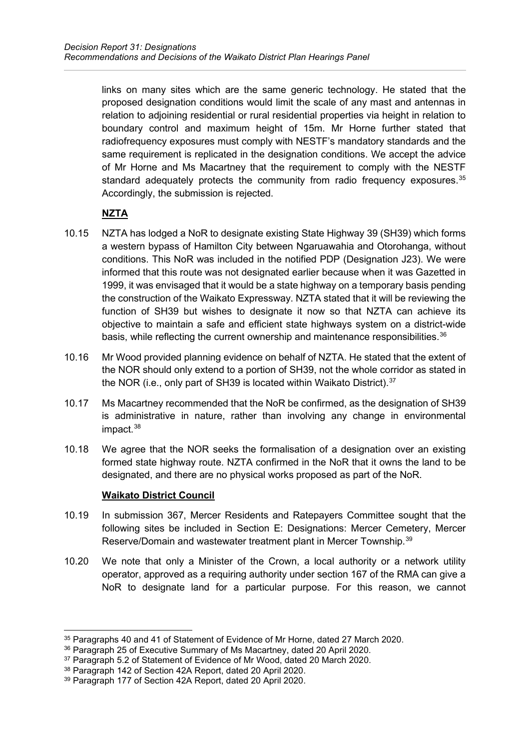links on many sites which are the same generic technology. He stated that the proposed designation conditions would limit the scale of any mast and antennas in relation to adjoining residential or rural residential properties via height in relation to boundary control and maximum height of 15m. Mr Horne further stated that radiofrequency exposures must comply with NESTF's mandatory standards and the same requirement is replicated in the designation conditions. We accept the advice of Mr Horne and Ms Macartney that the requirement to comply with the NESTF standard adequately protects the community from radio frequency exposures. [35](#page-19-0) Accordingly, the submission is rejected.

# **NZTA**

- 10.15 NZTA has lodged a NoR to designate existing State Highway 39 (SH39) which forms a western bypass of Hamilton City between Ngaruawahia and Otorohanga, without conditions. This NoR was included in the notified PDP (Designation J23). We were informed that this route was not designated earlier because when it was Gazetted in 1999, it was envisaged that it would be a state highway on a temporary basis pending the construction of the Waikato Expressway. NZTA stated that it will be reviewing the function of SH39 but wishes to designate it now so that NZTA can achieve its objective to maintain a safe and efficient state highways system on a district-wide basis, while reflecting the current ownership and maintenance responsibilities.<sup>[36](#page-19-1)</sup>
- 10.16 Mr Wood provided planning evidence on behalf of NZTA. He stated that the extent of the NOR should only extend to a portion of SH39, not the whole corridor as stated in the NOR (i.e., only part of SH39 is located within Waikato District).<sup>[37](#page-19-2)</sup>
- 10.17 Ms Macartney recommended that the NoR be confirmed, as the designation of SH39 is administrative in nature, rather than involving any change in environmental impact. [38](#page-19-3)
- 10.18 We agree that the NOR seeks the formalisation of a designation over an existing formed state highway route. NZTA confirmed in the NoR that it owns the land to be designated, and there are no physical works proposed as part of the NoR.

# **Waikato District Council**

- 10.19 In submission 367, Mercer Residents and Ratepayers Committee sought that the following sites be included in Section E: Designations: Mercer Cemetery, Mercer Reserve/Domain and wastewater treatment plant in Mercer Township.<sup>[39](#page-19-4)</sup>
- 10.20 We note that only a Minister of the Crown, a local authority or a network utility operator, approved as a requiring authority under section 167 of the RMA can give a NoR to designate land for a particular purpose. For this reason, we cannot

<span id="page-19-0"></span><sup>35</sup> Paragraphs 40 and 41 of Statement of Evidence of Mr Horne, dated 27 March 2020.

<span id="page-19-1"></span><sup>36</sup> Paragraph 25 of Executive Summary of Ms Macartney, dated 20 April 2020.

<span id="page-19-2"></span><sup>37</sup> Paragraph 5.2 of Statement of Evidence of Mr Wood, dated 20 March 2020.

<span id="page-19-3"></span><sup>38</sup> Paragraph 142 of Section 42A Report, dated 20 April 2020.

<span id="page-19-4"></span><sup>39</sup> Paragraph 177 of Section 42A Report, dated 20 April 2020.